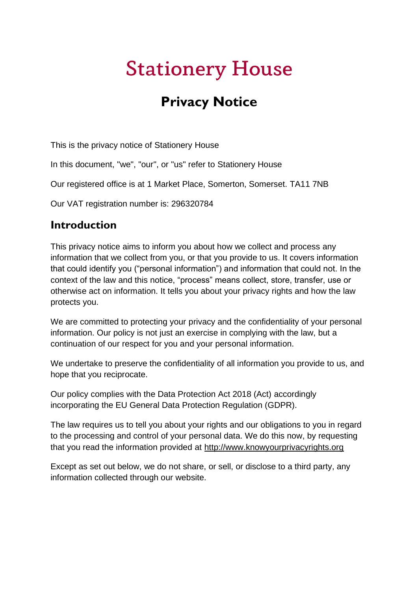# **Stationery House**

## **Privacy Notice**

This is the privacy notice of Stationery House

In this document, "we", "our", or "us" refer to Stationery House

Our registered office is at 1 Market Place, Somerton, Somerset. TA11 7NB

Our VAT registration number is: 296320784

#### **Introduction**

This privacy notice aims to inform you about how we collect and process any information that we collect from you, or that you provide to us. It covers information that could identify you ("personal information") and information that could not. In the context of the law and this notice, "process" means collect, store, transfer, use or otherwise act on information. It tells you about your privacy rights and how the law protects you.

We are committed to protecting your privacy and the confidentiality of your personal information. Our policy is not just an exercise in complying with the law, but a continuation of our respect for you and your personal information.

We undertake to preserve the confidentiality of all information you provide to us, and hope that you reciprocate.

Our policy complies with the Data Protection Act 2018 (Act) accordingly incorporating the EU General Data Protection Regulation (GDPR).

The law requires us to tell you about your rights and our obligations to you in regard to the processing and control of your personal data. We do this now, by requesting that you read the information provided at [http://www.knowyourprivacyrights.org](http://www.knowyourprivacyrights.org/)

Except as set out below, we do not share, or sell, or disclose to a third party, any information collected through our website.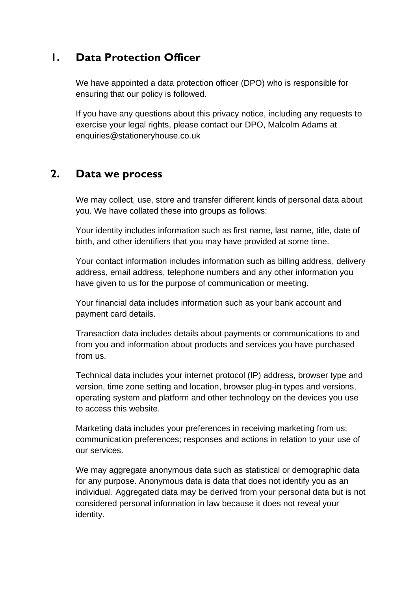#### **1. Data Protection Officer**

We have appointed a data protection officer (DPO) who is responsible for ensuring that our policy is followed.

If you have any questions about this privacy notice, including any requests to exercise your legal rights, please contact our DPO, Malcolm Adams at enquiries@stationeryhouse.co.uk

#### **2. Data we process**

We may collect, use, store and transfer different kinds of personal data about you. We have collated these into groups as follows:

Your identity includes information such as first name, last name, title, date of birth, and other identifiers that you may have provided at some time.

Your contact information includes information such as billing address, delivery address, email address, telephone numbers and any other information you have given to us for the purpose of communication or meeting.

Your financial data includes information such as your bank account and payment card details.

Transaction data includes details about payments or communications to and from you and information about products and services you have purchased from us.

Technical data includes your internet protocol (IP) address, browser type and version, time zone setting and location, browser plug-in types and versions, operating system and platform and other technology on the devices you use to access this website.

Marketing data includes your preferences in receiving marketing from us; communication preferences; responses and actions in relation to your use of our services.

We may aggregate anonymous data such as statistical or demographic data for any purpose. Anonymous data is data that does not identify you as an individual. Aggregated data may be derived from your personal data but is not considered personal information in law because it does not reveal your identity.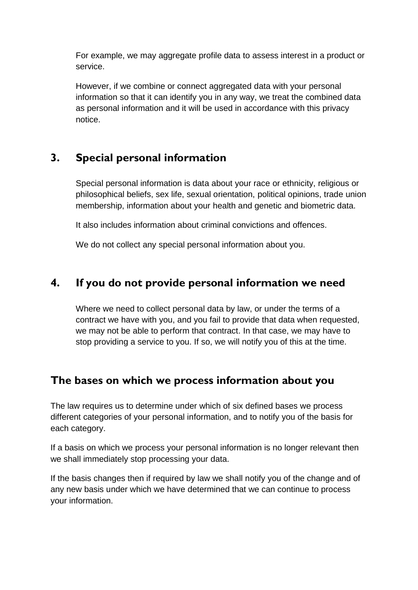For example, we may aggregate profile data to assess interest in a product or service.

However, if we combine or connect aggregated data with your personal information so that it can identify you in any way, we treat the combined data as personal information and it will be used in accordance with this privacy notice.

## **3. Special personal information**

Special personal information is data about your race or ethnicity, religious or philosophical beliefs, sex life, sexual orientation, political opinions, trade union membership, information about your health and genetic and biometric data.

It also includes information about criminal convictions and offences.

We do not collect any special personal information about you.

## **4. If you do not provide personal information we need**

Where we need to collect personal data by law, or under the terms of a contract we have with you, and you fail to provide that data when requested, we may not be able to perform that contract. In that case, we may have to stop providing a service to you. If so, we will notify you of this at the time.

## **The bases on which we process information about you**

The law requires us to determine under which of six defined bases we process different categories of your personal information, and to notify you of the basis for each category.

If a basis on which we process your personal information is no longer relevant then we shall immediately stop processing your data.

If the basis changes then if required by law we shall notify you of the change and of any new basis under which we have determined that we can continue to process your information.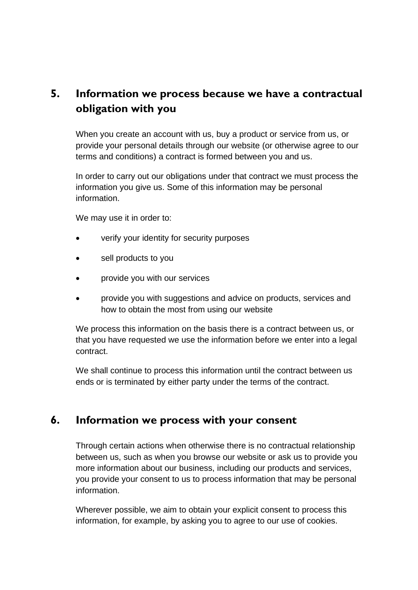## **5. Information we process because we have a contractual obligation with you**

When you create an account with us, buy a product or service from us, or provide your personal details through our website (or otherwise agree to our terms and conditions) a contract is formed between you and us.

In order to carry out our obligations under that contract we must process the information you give us. Some of this information may be personal information.

We may use it in order to:

- verify your identity for security purposes
- sell products to you
- provide you with our services
- provide you with suggestions and advice on products, services and how to obtain the most from using our website

We process this information on the basis there is a contract between us, or that you have requested we use the information before we enter into a legal contract.

We shall continue to process this information until the contract between us ends or is terminated by either party under the terms of the contract.

#### **6. Information we process with your consent**

Through certain actions when otherwise there is no contractual relationship between us, such as when you browse our website or ask us to provide you more information about our business, including our products and services, you provide your consent to us to process information that may be personal information.

Wherever possible, we aim to obtain your explicit consent to process this information, for example, by asking you to agree to our use of cookies.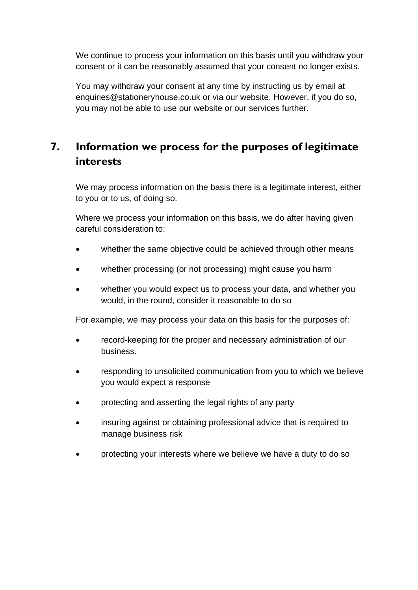We continue to process your information on this basis until you withdraw your consent or it can be reasonably assumed that your consent no longer exists.

You may withdraw your consent at any time by instructing us by email at enquiries@stationeryhouse.co.uk or via our website. However, if you do so, you may not be able to use our website or our services further.

## **7. Information we process for the purposes of legitimate interests**

We may process information on the basis there is a legitimate interest, either to you or to us, of doing so.

Where we process your information on this basis, we do after having given careful consideration to:

- whether the same objective could be achieved through other means
- whether processing (or not processing) might cause you harm
- whether you would expect us to process your data, and whether you would, in the round, consider it reasonable to do so

For example, we may process your data on this basis for the purposes of:

- record-keeping for the proper and necessary administration of our business.
- responding to unsolicited communication from you to which we believe you would expect a response
- protecting and asserting the legal rights of any party
- insuring against or obtaining professional advice that is required to manage business risk
- protecting your interests where we believe we have a duty to do so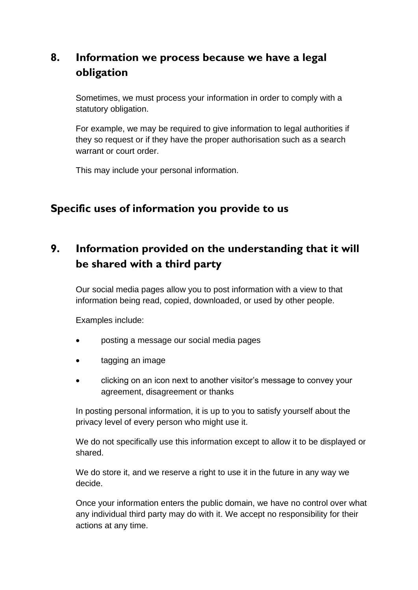## **8. Information we process because we have a legal obligation**

Sometimes, we must process your information in order to comply with a statutory obligation.

For example, we may be required to give information to legal authorities if they so request or if they have the proper authorisation such as a search warrant or court order.

This may include your personal information.

## **Specific uses of information you provide to us**

## **9. Information provided on the understanding that it will be shared with a third party**

Our social media pages allow you to post information with a view to that information being read, copied, downloaded, or used by other people.

Examples include:

- posting a message our social media pages
- tagging an image
- clicking on an icon next to another visitor's message to convey your agreement, disagreement or thanks

In posting personal information, it is up to you to satisfy yourself about the privacy level of every person who might use it.

We do not specifically use this information except to allow it to be displayed or shared.

We do store it, and we reserve a right to use it in the future in any way we decide.

Once your information enters the public domain, we have no control over what any individual third party may do with it. We accept no responsibility for their actions at any time.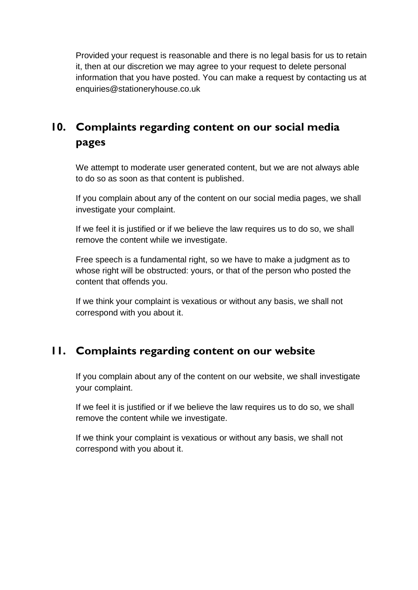Provided your request is reasonable and there is no legal basis for us to retain it, then at our discretion we may agree to your request to delete personal information that you have posted. You can make a request by contacting us at enquiries@stationeryhouse.co.uk

## **10. Complaints regarding content on our social media pages**

We attempt to moderate user generated content, but we are not always able to do so as soon as that content is published.

If you complain about any of the content on our social media pages, we shall investigate your complaint.

If we feel it is justified or if we believe the law requires us to do so, we shall remove the content while we investigate.

Free speech is a fundamental right, so we have to make a judgment as to whose right will be obstructed: yours, or that of the person who posted the content that offends you.

If we think your complaint is vexatious or without any basis, we shall not correspond with you about it.

## **11. Complaints regarding content on our website**

If you complain about any of the content on our website, we shall investigate your complaint.

If we feel it is justified or if we believe the law requires us to do so, we shall remove the content while we investigate.

If we think your complaint is vexatious or without any basis, we shall not correspond with you about it.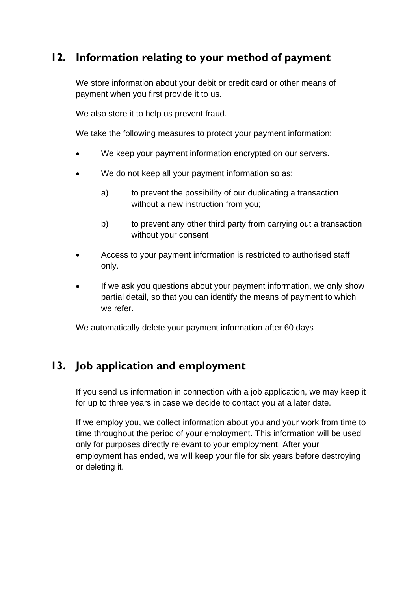## **12. Information relating to your method of payment**

We store information about your debit or credit card or other means of payment when you first provide it to us.

We also store it to help us prevent fraud.

We take the following measures to protect your payment information:

- We keep your payment information encrypted on our servers.
- We do not keep all your payment information so as:
	- a) to prevent the possibility of our duplicating a transaction without a new instruction from you;
	- b) to prevent any other third party from carrying out a transaction without your consent
- Access to your payment information is restricted to authorised staff only.
- If we ask you questions about your payment information, we only show partial detail, so that you can identify the means of payment to which we refer.

We automatically delete your payment information after 60 days

## **13. Job application and employment**

If you send us information in connection with a job application, we may keep it for up to three years in case we decide to contact you at a later date.

If we employ you, we collect information about you and your work from time to time throughout the period of your employment. This information will be used only for purposes directly relevant to your employment. After your employment has ended, we will keep your file for six years before destroying or deleting it.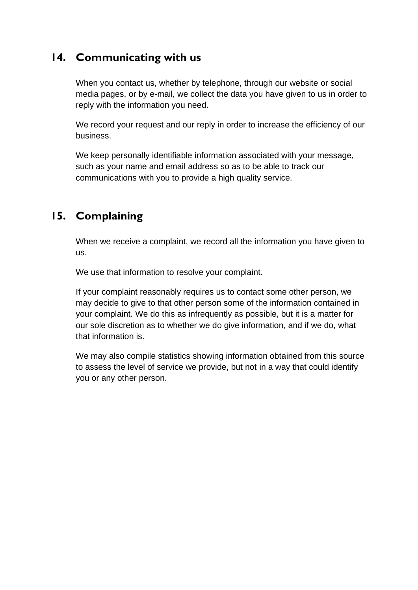## **14. Communicating with us**

When you contact us, whether by telephone, through our website or social media pages, or by e-mail, we collect the data you have given to us in order to reply with the information you need.

We record your request and our reply in order to increase the efficiency of our business.

We keep personally identifiable information associated with your message, such as your name and email address so as to be able to track our communications with you to provide a high quality service.

## **15. Complaining**

When we receive a complaint, we record all the information you have given to us.

We use that information to resolve your complaint.

If your complaint reasonably requires us to contact some other person, we may decide to give to that other person some of the information contained in your complaint. We do this as infrequently as possible, but it is a matter for our sole discretion as to whether we do give information, and if we do, what that information is.

We may also compile statistics showing information obtained from this source to assess the level of service we provide, but not in a way that could identify you or any other person.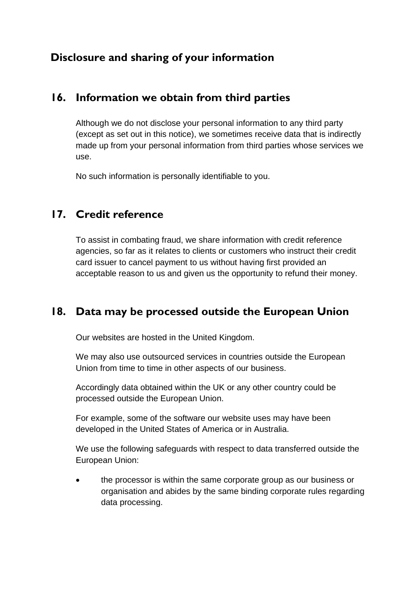## **Disclosure and sharing of your information**

#### **16. Information we obtain from third parties**

Although we do not disclose your personal information to any third party (except as set out in this notice), we sometimes receive data that is indirectly made up from your personal information from third parties whose services we use.

No such information is personally identifiable to you.

## **17. Credit reference**

To assist in combating fraud, we share information with credit reference agencies, so far as it relates to clients or customers who instruct their credit card issuer to cancel payment to us without having first provided an acceptable reason to us and given us the opportunity to refund their money.

## **18. Data may be processed outside the European Union**

Our websites are hosted in the United Kingdom.

We may also use outsourced services in countries outside the European Union from time to time in other aspects of our business.

Accordingly data obtained within the UK or any other country could be processed outside the European Union.

For example, some of the software our website uses may have been developed in the United States of America or in Australia.

We use the following safeguards with respect to data transferred outside the European Union:

the processor is within the same corporate group as our business or organisation and abides by the same binding corporate rules regarding data processing.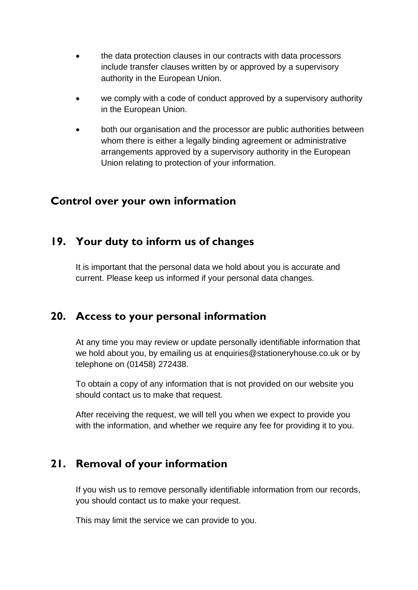- the data protection clauses in our contracts with data processors include transfer clauses written by or approved by a supervisory authority in the European Union.
- we comply with a code of conduct approved by a supervisory authority in the European Union.
- both our organisation and the processor are public authorities between whom there is either a legally binding agreement or administrative arrangements approved by a supervisory authority in the European Union relating to protection of your information.

#### **Control over your own information**

## **19. Your duty to inform us of changes**

It is important that the personal data we hold about you is accurate and current. Please keep us informed if your personal data changes.

## **20. Access to your personal information**

At any time you may review or update personally identifiable information that we hold about you, by emailing us at enquiries@stationeryhouse.co.uk or by telephone on (01458) 272438.

To obtain a copy of any information that is not provided on our website you should contact us to make that request.

After receiving the request, we will tell you when we expect to provide you with the information, and whether we require any fee for providing it to you.

## **21. Removal of your information**

If you wish us to remove personally identifiable information from our records, you should contact us to make your request.

This may limit the service we can provide to you.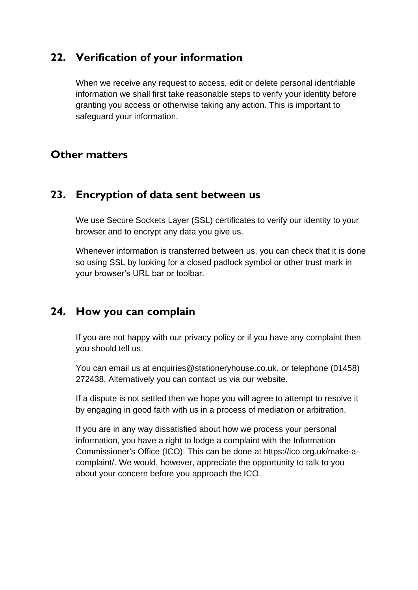#### **22. Verification of your information**

When we receive any request to access, edit or delete personal identifiable information we shall first take reasonable steps to verify your identity before granting you access or otherwise taking any action. This is important to safeguard your information.

#### **Other matters**

#### **23. Encryption of data sent between us**

We use Secure Sockets Layer (SSL) certificates to verify our identity to your browser and to encrypt any data you give us.

Whenever information is transferred between us, you can check that it is done so using SSL by looking for a closed padlock symbol or other trust mark in your browser's URL bar or toolbar.

### **24. How you can complain**

If you are not happy with our privacy policy or if you have any complaint then you should tell us.

You can email us at enquiries@stationeryhouse.co.uk, or telephone (01458) 272438. Alternatively you can contact us via our website.

If a dispute is not settled then we hope you will agree to attempt to resolve it by engaging in good faith with us in a process of mediation or arbitration.

If you are in any way dissatisfied about how we process your personal information, you have a right to lodge a complaint with the Information Commissioner's Office (ICO). This can be done at https://ico.org.uk/make-acomplaint/. We would, however, appreciate the opportunity to talk to you about your concern before you approach the ICO.